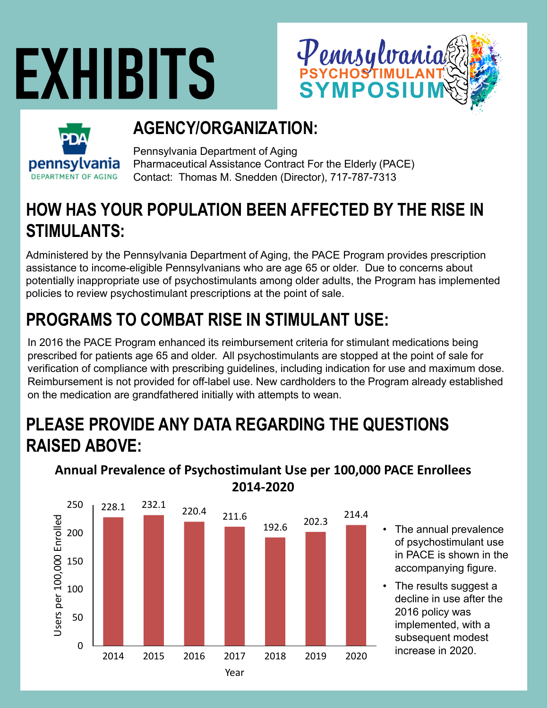# **EXHIBITS**





# **AGENCY/ORGANIZATION:**

Pennsylvania Department of Aging Pharmaceutical Assistance Contract For the Elderly (PACE) Contact: Thomas M. Snedden (Director), 717-787-7313

### **HOW HAS YOUR POPULATION BEEN AFFECTED BY THE RISE IN STIMULANTS:**

Administered by the Pennsylvania Department of Aging, the PACE Program provides prescription assistance to income-eligible Pennsylvanians who are age 65 or older. Due to concerns about potentially inappropriate use of psychostimulants among older adults, the Program has implemented policies to review psychostimulant prescriptions at the point of sale.

# **PROGRAMS TO COMBAT RISE IN STIMULANT USE:**

In 2016 the PACE Program enhanced its reimbursement criteria for stimulant medications being prescribed for patients age 65 and older. All psychostimulants are stopped at the point of sale for verification of compliance with prescribing guidelines, including indication for use and maximum dose. Reimbursement is not provided for off-label use. New cardholders to the Program already established on the medication are grandfathered initially with attempts to wean.

### **PLEASE PROVIDE ANY DATA REGARDING THE QUESTIONS RAISED ABOVE:**



**Annual Prevalence of Psychostimulant Use per 100,000 PACE Enrollees 2014‐2020**

- The annual prevalence of psychostimulant use in PACE is shown in the accompanying figure.
- The results suggest a decline in use after the 2016 policy was implemented, with a subsequent modest increase in 2020.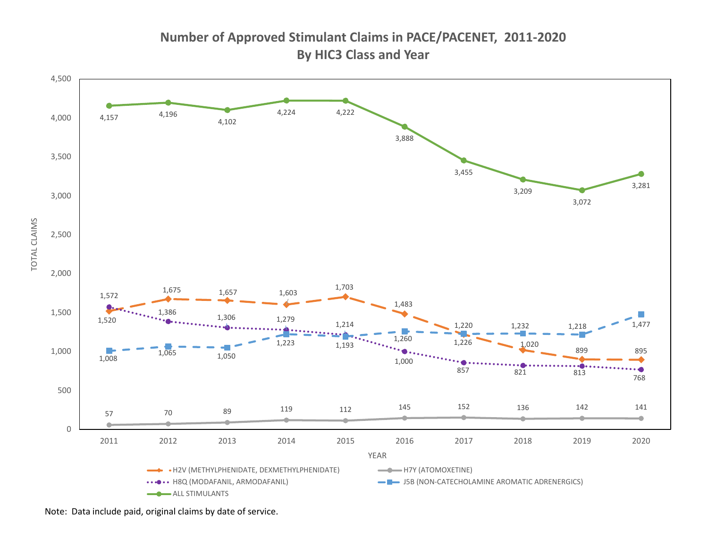**Number of Approved Stimulant Claims in PACE/PACENET, 2011‐2020 By HIC3 Class and Year**



Note: Data include paid, original claims by date of service.